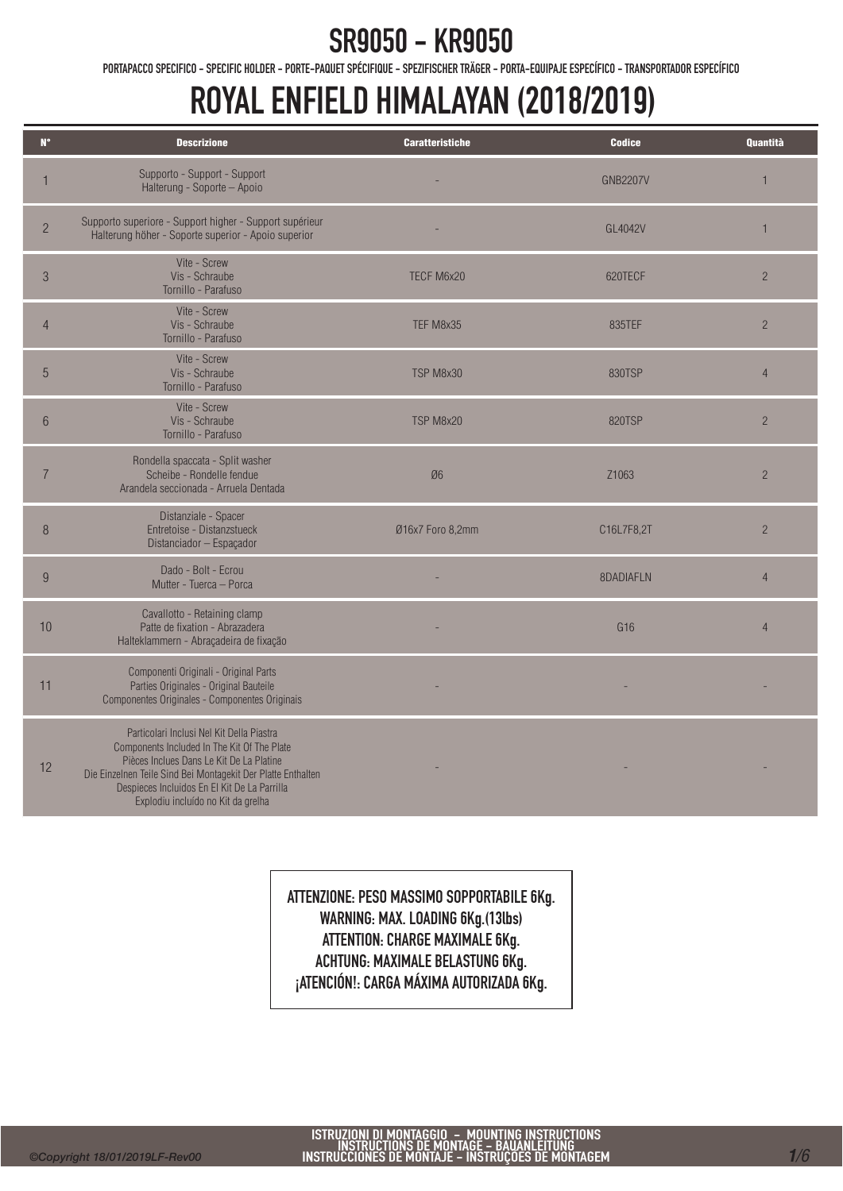PORTAPACCO SPECIFICO - SPECIFIC HOLDER - PORTE-PAQUET SPÉCIFIQUE - SPEZIFISCHER TRÄGER - PORTA-EQUIPAJE ESPECÍFICO - TRANSPORTADOR ESPECÍFICO

### ROYAL ENFIELD HIMALAYAN (2018/2019)

| $N^{\circ}$     | <b>Descrizione</b>                                                                                                                                                                                                                                                                         | <b>Caratteristiche</b> | <b>Codice</b>   | <b>Quantità</b> |
|-----------------|--------------------------------------------------------------------------------------------------------------------------------------------------------------------------------------------------------------------------------------------------------------------------------------------|------------------------|-----------------|-----------------|
| $\mathbf{1}$    | Supporto - Support - Support<br>Halterung - Soporte - Apoio                                                                                                                                                                                                                                |                        | <b>GNB2207V</b> | $\mathbf{1}$    |
| $\overline{2}$  | Supporto superiore - Support higher - Support supérieur<br>Halterung höher - Soporte superior - Apoio superior                                                                                                                                                                             |                        | GL4042V         | $\mathbf{1}$    |
| $\mathfrak{B}$  | Vite - Screw<br>Vis - Schraube<br>Tornillo - Parafuso                                                                                                                                                                                                                                      | TECF M6x20             | 620TECF         | $\overline{c}$  |
| $\overline{4}$  | Vite - Screw<br>Vis - Schraube<br>Tornillo - Parafuso                                                                                                                                                                                                                                      | TEF M8x35              | 835TEF          | $\overline{2}$  |
| 5               | Vite - Screw<br>Vis - Schraube<br>Tornillo - Parafuso                                                                                                                                                                                                                                      | TSP M8x30              | 830TSP          | $\overline{4}$  |
| $6\phantom{.}6$ | Vite - Screw<br>Vis - Schraube<br>Tornillo - Parafuso                                                                                                                                                                                                                                      | TSP M8x20              | 820TSP          | $\overline{c}$  |
| $\overline{7}$  | Rondella spaccata - Split washer<br>Scheibe - Rondelle fendue<br>Arandela seccionada - Arruela Dentada                                                                                                                                                                                     | Ø6                     | Z1063           | $\overline{c}$  |
| 8               | Distanziale - Spacer<br>Entretoise - Distanzstueck<br>Distanciador - Espaçador                                                                                                                                                                                                             | Ø16x7 Foro 8,2mm       | C16L7F8,2T      | $\overline{2}$  |
| 9               | Dado - Bolt - Ecrou<br>Mutter - Tuerca - Porca                                                                                                                                                                                                                                             |                        | 8DADIAFLN       | $\overline{4}$  |
| 10              | Cavallotto - Retaining clamp<br>Patte de fixation - Abrazadera<br>Halteklammern - Abraçadeira de fixação                                                                                                                                                                                   |                        | G <sub>16</sub> | $\overline{4}$  |
| 11              | Componenti Originali - Original Parts<br>Parties Originales - Original Bauteile<br>Componentes Originales - Componentes Originais                                                                                                                                                          |                        |                 |                 |
| 12              | Particolari Inclusi Nel Kit Della Piastra<br>Components Included In The Kit Of The Plate<br>Pièces Inclues Dans Le Kit De La Platine<br>Die Einzelnen Teile Sind Bei Montagekit Der Platte Enthalten<br>Despieces Incluidos En El Kit De La Parrilla<br>Explodiu incluído no Kit da grelha |                        |                 |                 |

ATTENZIONE: PESO MASSIMO SOPPORTABILE 6Kg. WARNING: MAX. LOADING 6Kg.(13lbs) ATTENTION: CHARGE MAXIMALE 6Kg. ACHTUNG: MAXIMALE BELASTUNG 6Kg. **¡ATENCIÓN!: CARGA MÁXIMA AUTORIZADA 6Kg.**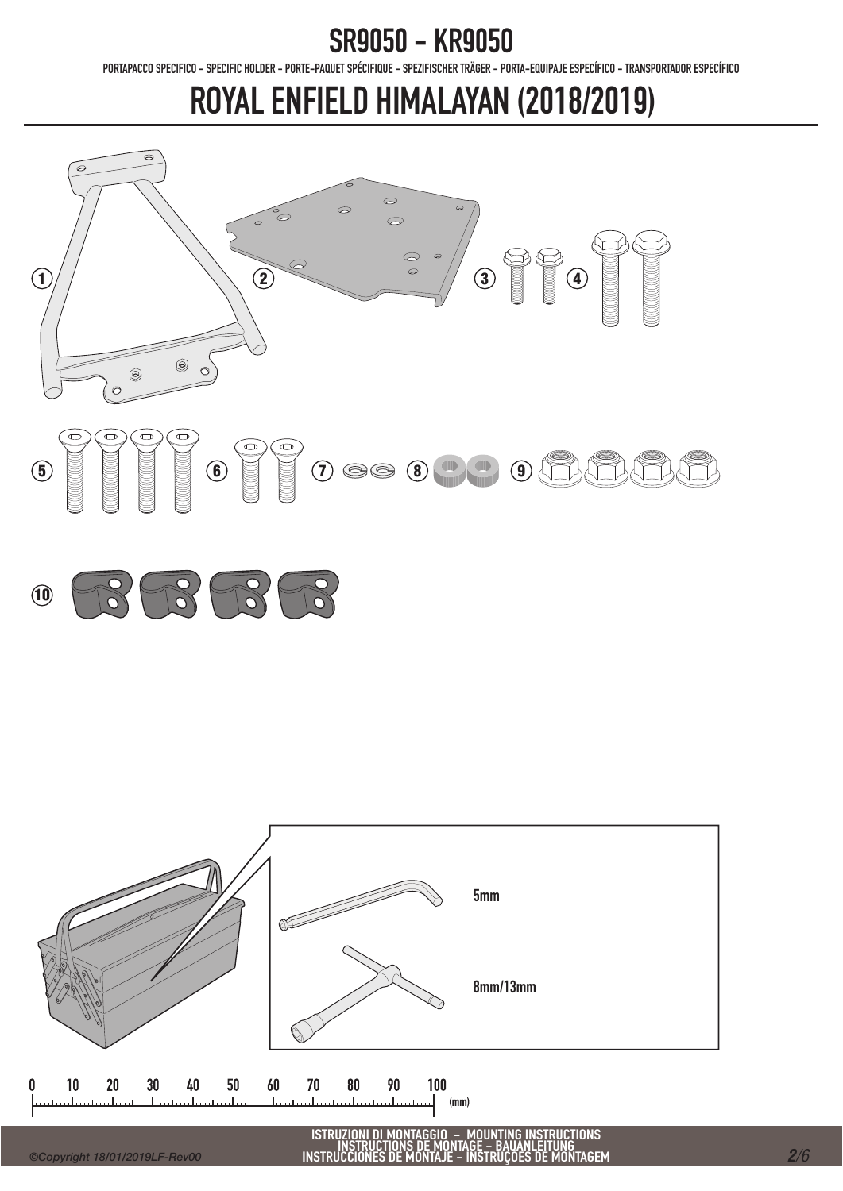PORTAPACCO SPECIFICO - SPECIFIC HOLDER - PORTE-PAQUET SPÉCIFIQUE - SPEZIFISCHER TRÄGER - PORTA-EQUIPAJE ESPECÍFICO - TRANSPORTADOR ESPECÍFICO

# ROYAL ENFIELD HIMALAYAN (2018/2019)





ISTRUZIONI DI MONTAGGIO – MOUNTING INSTRUCTIONS<br>INSTRUCTIONS DE MONTAGE – BAUANLEITUNG<br>INSTRUCCIONES DE MONTAJE – INSTRUÇÕES DE MONTAGEM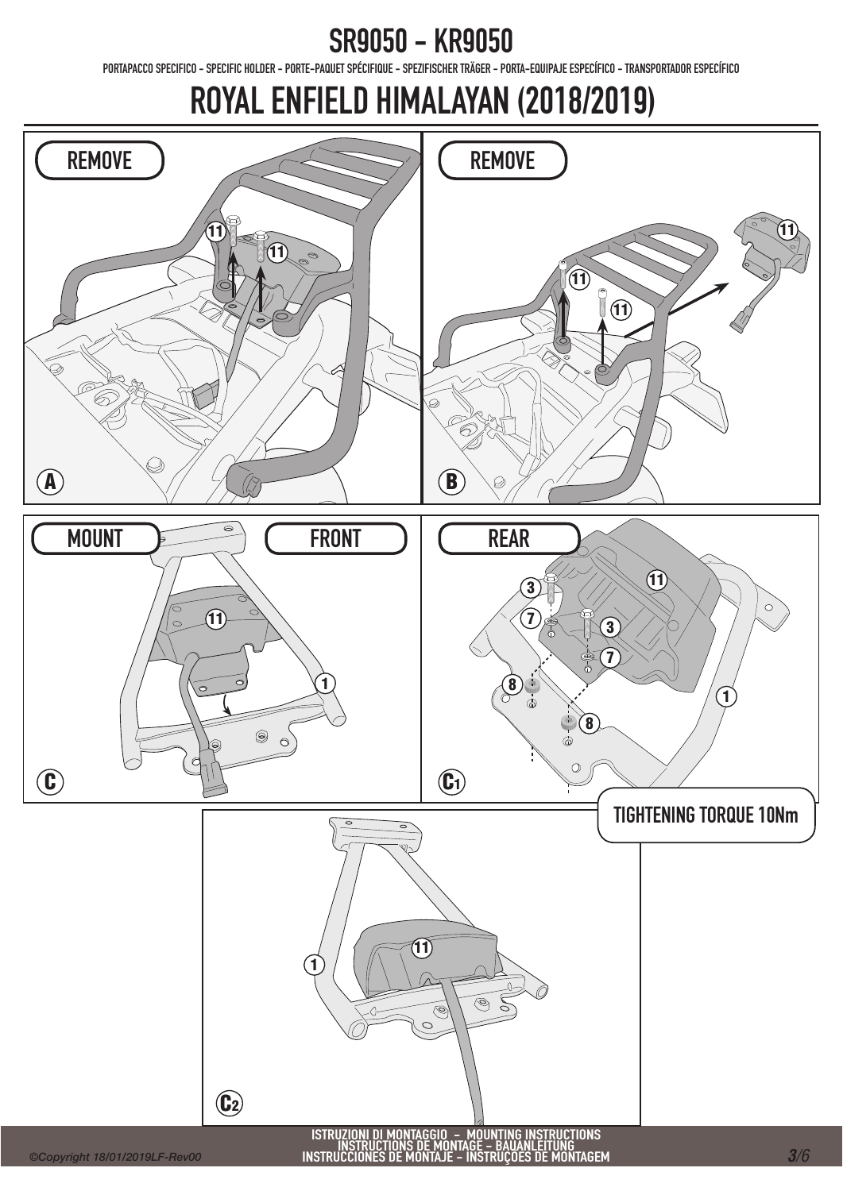PORTAPACCO SPECIFICO - SPECIFIC HOLDER - PORTE-PAQUET SPÉCIFIQUE - SPEZIFISCHER TRÄGER - PORTA-EQUIPAJE ESPECÍFICO - TRANSPORTADOR ESPECÍFICO

### ROYAL ENFIELD HIMALAYAN (2018/2019)

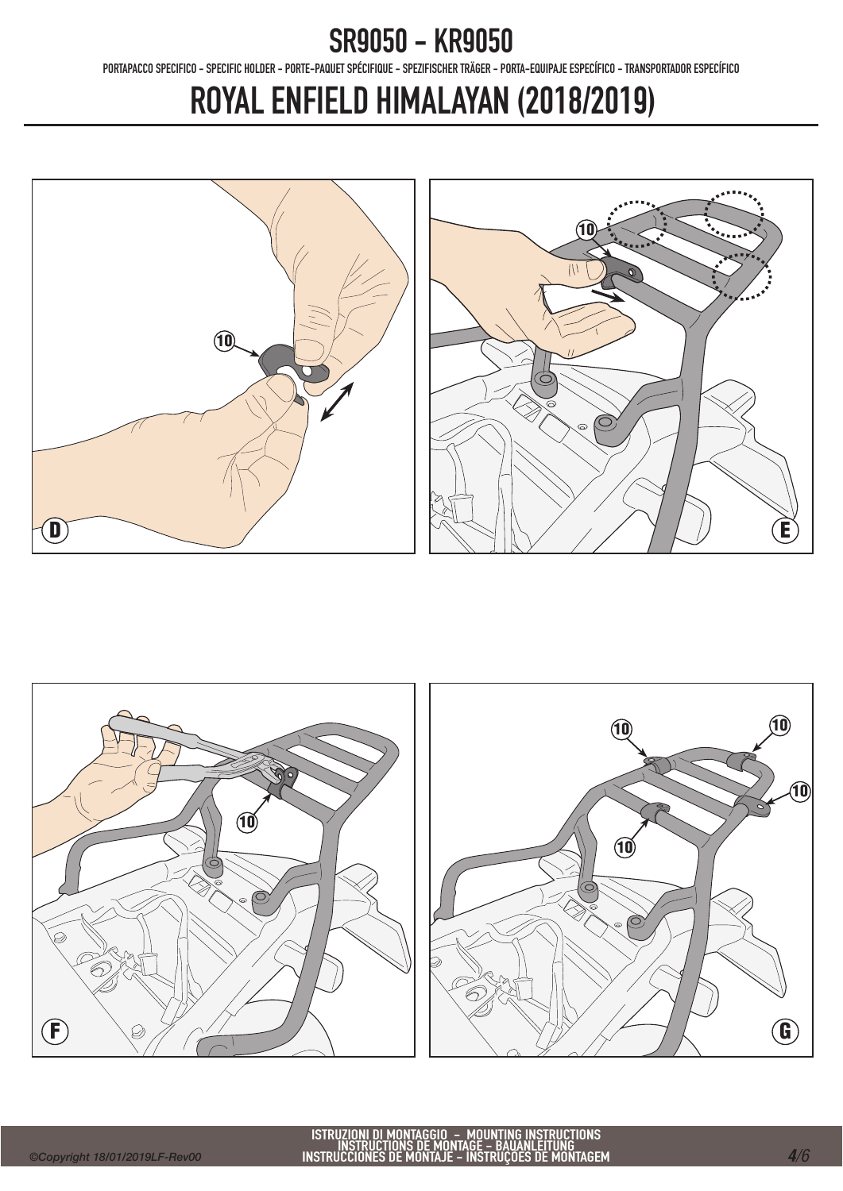PORTAPACCO SPECIFICO - SPECIFIC HOLDER - PORTE-PAQUET SPÉCIFIQUE - SPEZIFISCHER TRÄGER - PORTA-EQUIPAJE ESPECÍFICO - TRANSPORTADOR ESPECÍFICO

# ROYAL ENFIELD HIMALAYAN (2018/2019)





ISTRUZIONI DI MONTAGGIO – MOUNTING INSTRUCTIONS<br>INSTRUCTIONS DE MONTAGE – BAUANLEITUNG<br>INSTRUCCIONES DE MONTAJE – INSTRUÇÕES DE MONTAGEM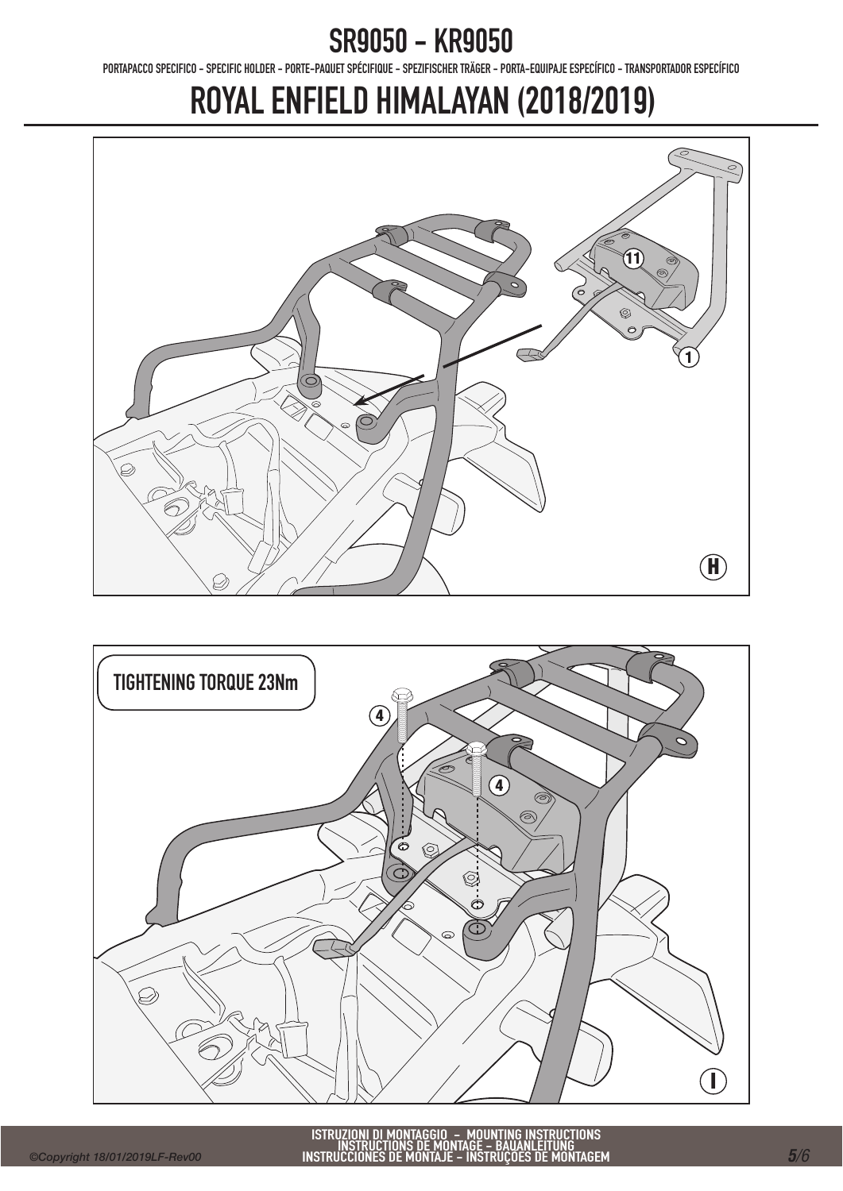PORTAPACCO SPECIFICO - SPECIFIC HOLDER - PORTE-PAQUET SPÉCIFIQUE - SPEZIFISCHER TRÄGER - PORTA-EQUIPAJE ESPECÍFICO - TRANSPORTADOR ESPECÍFICO

# ROYAL ENFIELD HIMALAYAN (2018/2019)